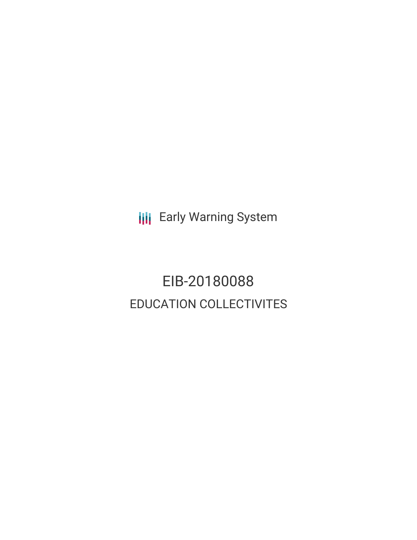**III** Early Warning System

EIB-20180088 EDUCATION COLLECTIVITES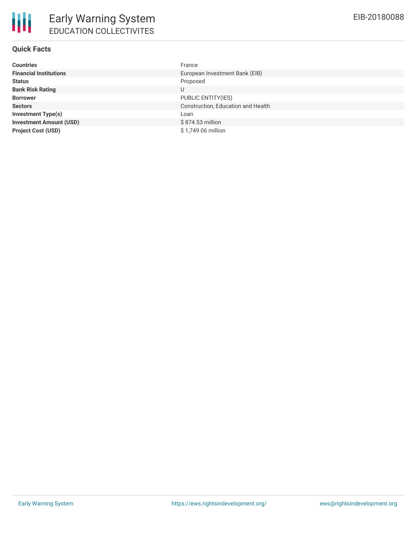## **Quick Facts**

| <b>Countries</b>               | France             |
|--------------------------------|--------------------|
| <b>Financial Institutions</b>  | European Investr   |
| <b>Status</b>                  | Proposed           |
| <b>Bank Risk Rating</b>        | U                  |
| <b>Borrower</b>                | PUBLIC ENTITY(     |
| <b>Sectors</b>                 | Construction, Ed   |
| <b>Investment Type(s)</b>      | l oan              |
| <b>Investment Amount (USD)</b> | \$874.53 million   |
| <b>Project Cost (USD)</b>      | \$1,749.06 million |

**Financial** Pank (EIB) **BORROWER BOOTS Sectors** Construction, Education and Health **Project Cost (USD)** \$ 1,749.06 million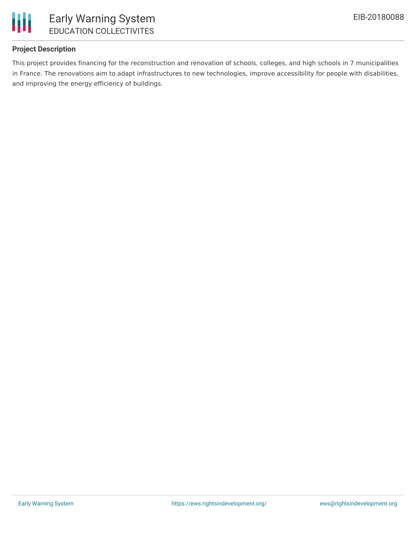

## **Project Description**

This project provides financing for the reconstruction and renovation of schools, colleges, and high schools in 7 municipalities in France. The renovations aim to adapt infrastructures to new technologies, improve accessibility for people with disabilities, and improving the energy efficiency of buildings.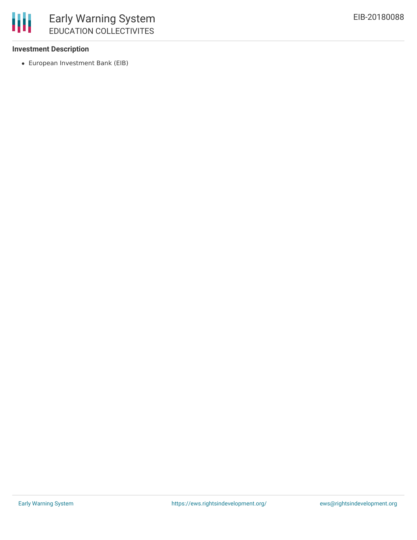

#### **Investment Description**

European Investment Bank (EIB)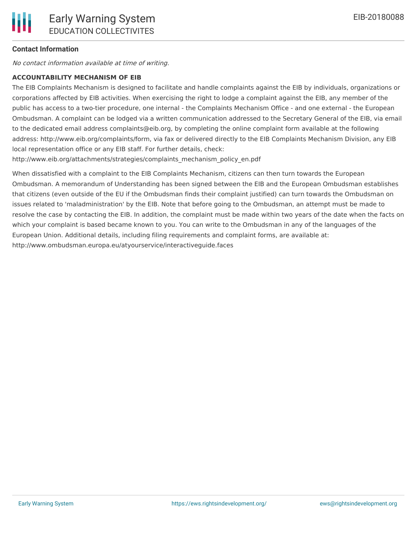## **Contact Information**

No contact information available at time of writing.

#### **ACCOUNTABILITY MECHANISM OF EIB**

The EIB Complaints Mechanism is designed to facilitate and handle complaints against the EIB by individuals, organizations or corporations affected by EIB activities. When exercising the right to lodge a complaint against the EIB, any member of the public has access to a two-tier procedure, one internal - the Complaints Mechanism Office - and one external - the European Ombudsman. A complaint can be lodged via a written communication addressed to the Secretary General of the EIB, via email to the dedicated email address complaints@eib.org, by completing the online complaint form available at the following address: http://www.eib.org/complaints/form, via fax or delivered directly to the EIB Complaints Mechanism Division, any EIB local representation office or any EIB staff. For further details, check:

http://www.eib.org/attachments/strategies/complaints\_mechanism\_policy\_en.pdf

When dissatisfied with a complaint to the EIB Complaints Mechanism, citizens can then turn towards the European Ombudsman. A memorandum of Understanding has been signed between the EIB and the European Ombudsman establishes that citizens (even outside of the EU if the Ombudsman finds their complaint justified) can turn towards the Ombudsman on issues related to 'maladministration' by the EIB. Note that before going to the Ombudsman, an attempt must be made to resolve the case by contacting the EIB. In addition, the complaint must be made within two years of the date when the facts on which your complaint is based became known to you. You can write to the Ombudsman in any of the languages of the European Union. Additional details, including filing requirements and complaint forms, are available at: http://www.ombudsman.europa.eu/atyourservice/interactiveguide.faces